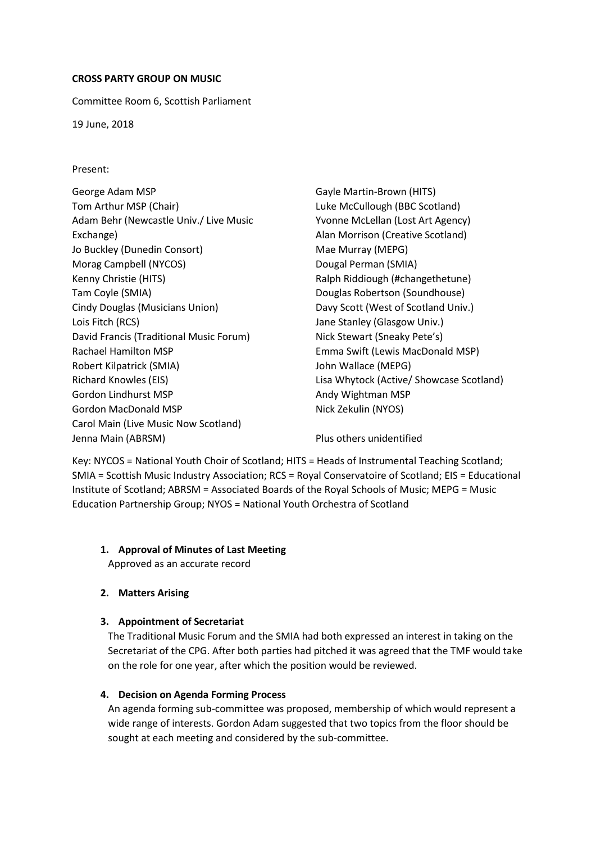### **CROSS PARTY GROUP ON MUSIC**

Committee Room 6, Scottish Parliament

19 June, 2018

Present:

George Adam MSP Tom Arthur MSP (Chair) Adam Behr (Newcastle Univ./ Live Music Exchange) Jo Buckley (Dunedin Consort) Morag Campbell (NYCOS) Kenny Christie (HITS) Tam Coyle (SMIA) Cindy Douglas (Musicians Union) Lois Fitch (RCS) David Francis (Traditional Music Forum) Rachael Hamilton MSP Robert Kilpatrick (SMIA) Richard Knowles (EIS) Gordon Lindhurst MSP Gordon MacDonald MSP Carol Main (Live Music Now Scotland) Jenna Main (ABRSM) and Allen and Allen and Plus others unidentified

Gayle Martin-Brown (HITS) Luke McCullough (BBC Scotland) Yvonne McLellan (Lost Art Agency) Alan Morrison (Creative Scotland) Mae Murray (MEPG) Dougal Perman (SMIA) Ralph Riddiough (#changethetune) Douglas Robertson (Soundhouse) Davy Scott (West of Scotland Univ.) Jane Stanley (Glasgow Univ.) Nick Stewart (Sneaky Pete's) Emma Swift (Lewis MacDonald MSP) John Wallace (MEPG) Lisa Whytock (Active/ Showcase Scotland) Andy Wightman MSP Nick Zekulin (NYOS)

Key: NYCOS = National Youth Choir of Scotland; HITS = Heads of Instrumental Teaching Scotland; SMIA = Scottish Music Industry Association; RCS = Royal Conservatoire of Scotland; EIS = Educational Institute of Scotland; ABRSM = Associated Boards of the Royal Schools of Music; MEPG = Music Education Partnership Group; NYOS = National Youth Orchestra of Scotland

## **1. Approval of Minutes of Last Meeting**

Approved as an accurate record

## **2. Matters Arising**

## **3. Appointment of Secretariat**

The Traditional Music Forum and the SMIA had both expressed an interest in taking on the Secretariat of the CPG. After both parties had pitched it was agreed that the TMF would take on the role for one year, after which the position would be reviewed.

## **4. Decision on Agenda Forming Process**

An agenda forming sub-committee was proposed, membership of which would represent a wide range of interests. Gordon Adam suggested that two topics from the floor should be sought at each meeting and considered by the sub-committee.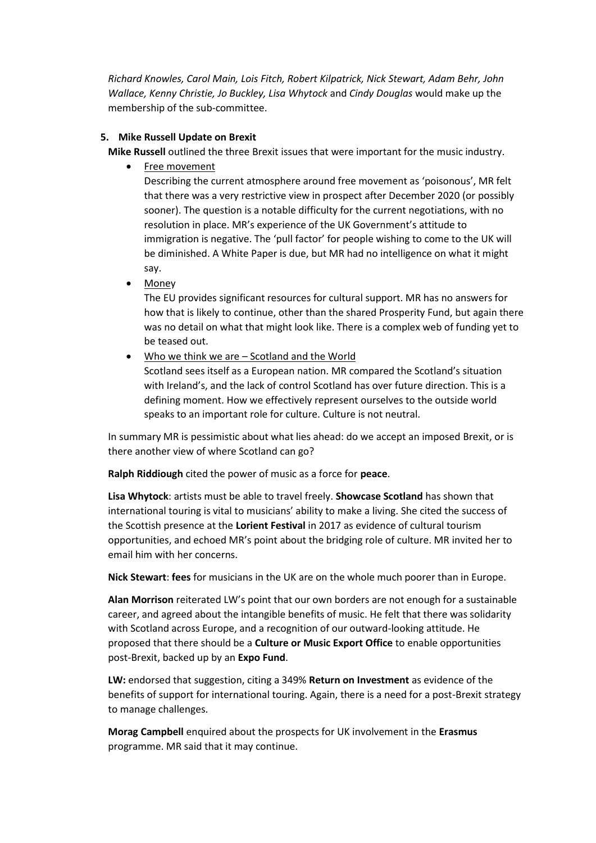*Richard Knowles, Carol Main, Lois Fitch, Robert Kilpatrick, Nick Stewart, Adam Behr, John Wallace, Kenny Christie, Jo Buckley, Lisa Whytock* and *Cindy Douglas* would make up the membership of the sub-committee.

# **5. Mike Russell Update on Brexit**

**Mike Russell** outlined the three Brexit issues that were important for the music industry.

• Free movement

Describing the current atmosphere around free movement as 'poisonous', MR felt that there was a very restrictive view in prospect after December 2020 (or possibly sooner). The question is a notable difficulty for the current negotiations, with no resolution in place. MR's experience of the UK Government's attitude to immigration is negative. The 'pull factor' for people wishing to come to the UK will be diminished. A White Paper is due, but MR had no intelligence on what it might say.

**Money** 

The EU provides significant resources for cultural support. MR has no answers for how that is likely to continue, other than the shared Prosperity Fund, but again there was no detail on what that might look like. There is a complex web of funding yet to be teased out.

Who we think we are  $-$  Scotland and the World

Scotland sees itself as a European nation. MR compared the Scotland's situation with Ireland's, and the lack of control Scotland has over future direction. This is a defining moment. How we effectively represent ourselves to the outside world speaks to an important role for culture. Culture is not neutral.

In summary MR is pessimistic about what lies ahead: do we accept an imposed Brexit, or is there another view of where Scotland can go?

**Ralph Riddiough** cited the power of music as a force for **peace**.

**Lisa Whytock**: artists must be able to travel freely. **Showcase Scotland** has shown that international touring is vital to musicians' ability to make a living. She cited the success of the Scottish presence at the **Lorient Festival** in 2017 as evidence of cultural tourism opportunities, and echoed MR's point about the bridging role of culture. MR invited her to email him with her concerns.

**Nick Stewart**: **fees** for musicians in the UK are on the whole much poorer than in Europe.

**Alan Morrison** reiterated LW's point that our own borders are not enough for a sustainable career, and agreed about the intangible benefits of music. He felt that there was solidarity with Scotland across Europe, and a recognition of our outward-looking attitude. He proposed that there should be a **Culture or Music Export Office** to enable opportunities post-Brexit, backed up by an **Expo Fund**.

**LW:** endorsed that suggestion, citing a 349% **Return on Investment** as evidence of the benefits of support for international touring. Again, there is a need for a post-Brexit strategy to manage challenges.

**Morag Campbell** enquired about the prospects for UK involvement in the **Erasmus** programme. MR said that it may continue.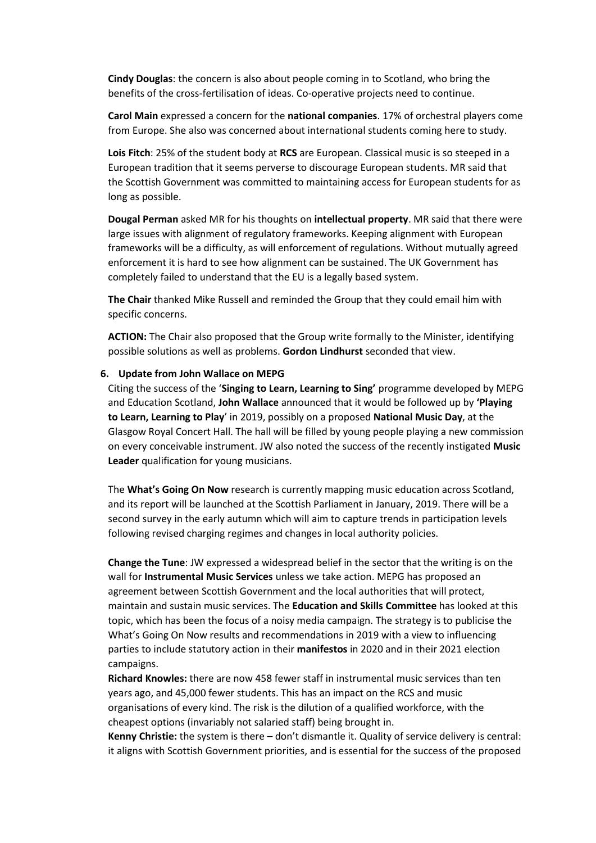**Cindy Douglas**: the concern is also about people coming in to Scotland, who bring the benefits of the cross-fertilisation of ideas. Co-operative projects need to continue.

**Carol Main** expressed a concern for the **national companies**. 17% of orchestral players come from Europe. She also was concerned about international students coming here to study.

**Lois Fitch**: 25% of the student body at **RCS** are European. Classical music is so steeped in a European tradition that it seems perverse to discourage European students. MR said that the Scottish Government was committed to maintaining access for European students for as long as possible.

**Dougal Perman** asked MR for his thoughts on **intellectual property**. MR said that there were large issues with alignment of regulatory frameworks. Keeping alignment with European frameworks will be a difficulty, as will enforcement of regulations. Without mutually agreed enforcement it is hard to see how alignment can be sustained. The UK Government has completely failed to understand that the EU is a legally based system.

**The Chair** thanked Mike Russell and reminded the Group that they could email him with specific concerns.

**ACTION:** The Chair also proposed that the Group write formally to the Minister, identifying possible solutions as well as problems. **Gordon Lindhurst** seconded that view.

#### **6. Update from John Wallace on MEPG**

Citing the success of the '**Singing to Learn, Learning to Sing'** programme developed by MEPG and Education Scotland, **John Wallace** announced that it would be followed up by **'Playing to Learn, Learning to Play**' in 2019, possibly on a proposed **National Music Day**, at the Glasgow Royal Concert Hall. The hall will be filled by young people playing a new commission on every conceivable instrument. JW also noted the success of the recently instigated **Music Leader** qualification for young musicians.

The **What's Going On Now** research is currently mapping music education across Scotland, and its report will be launched at the Scottish Parliament in January, 2019. There will be a second survey in the early autumn which will aim to capture trends in participation levels following revised charging regimes and changes in local authority policies.

**Change the Tune**: JW expressed a widespread belief in the sector that the writing is on the wall for **Instrumental Music Services** unless we take action. MEPG has proposed an agreement between Scottish Government and the local authorities that will protect, maintain and sustain music services. The **Education and Skills Committee** has looked at this topic, which has been the focus of a noisy media campaign. The strategy is to publicise the What's Going On Now results and recommendations in 2019 with a view to influencing parties to include statutory action in their **manifestos** in 2020 and in their 2021 election campaigns.

**Richard Knowles:** there are now 458 fewer staff in instrumental music services than ten years ago, and 45,000 fewer students. This has an impact on the RCS and music organisations of every kind. The risk is the dilution of a qualified workforce, with the cheapest options (invariably not salaried staff) being brought in.

**Kenny Christie:** the system is there – don't dismantle it. Quality of service delivery is central: it aligns with Scottish Government priorities, and is essential for the success of the proposed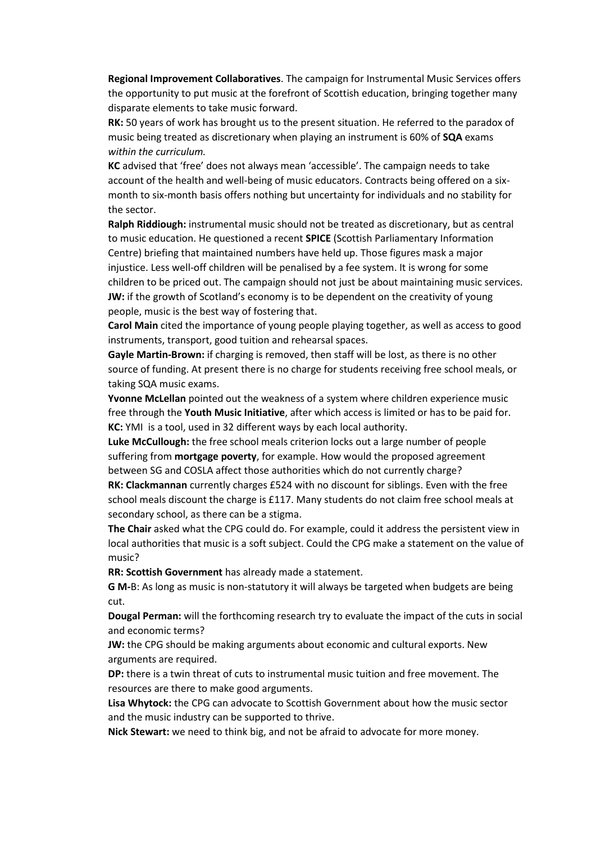**Regional Improvement Collaboratives**. The campaign for Instrumental Music Services offers the opportunity to put music at the forefront of Scottish education, bringing together many disparate elements to take music forward.

**RK:** 50 years of work has brought us to the present situation. He referred to the paradox of music being treated as discretionary when playing an instrument is 60% of **SQA** exams *within the curriculum.*

**KC** advised that 'free' does not always mean 'accessible'. The campaign needs to take account of the health and well-being of music educators. Contracts being offered on a sixmonth to six-month basis offers nothing but uncertainty for individuals and no stability for the sector.

**Ralph Riddiough:** instrumental music should not be treated as discretionary, but as central to music education. He questioned a recent **SPICE** (Scottish Parliamentary Information Centre) briefing that maintained numbers have held up. Those figures mask a major injustice. Less well-off children will be penalised by a fee system. It is wrong for some children to be priced out. The campaign should not just be about maintaining music services. **JW:** if the growth of Scotland's economy is to be dependent on the creativity of young people, music is the best way of fostering that.

**Carol Main** cited the importance of young people playing together, as well as access to good instruments, transport, good tuition and rehearsal spaces.

**Gayle Martin-Brown:** if charging is removed, then staff will be lost, as there is no other source of funding. At present there is no charge for students receiving free school meals, or taking SQA music exams.

**Yvonne McLellan** pointed out the weakness of a system where children experience music free through the **Youth Music Initiative**, after which access is limited or has to be paid for. **KC:** YMI is a tool, used in 32 different ways by each local authority.

**Luke McCullough:** the free school meals criterion locks out a large number of people suffering from **mortgage poverty**, for example. How would the proposed agreement between SG and COSLA affect those authorities which do not currently charge?

**RK: Clackmannan** currently charges £524 with no discount for siblings. Even with the free school meals discount the charge is £117. Many students do not claim free school meals at secondary school, as there can be a stigma.

**The Chair** asked what the CPG could do. For example, could it address the persistent view in local authorities that music is a soft subject. Could the CPG make a statement on the value of music?

**RR: Scottish Government** has already made a statement.

**G M-**B: As long as music is non-statutory it will always be targeted when budgets are being cut.

**Dougal Perman:** will the forthcoming research try to evaluate the impact of the cuts in social and economic terms?

**JW:** the CPG should be making arguments about economic and cultural exports. New arguments are required.

**DP:** there is a twin threat of cuts to instrumental music tuition and free movement. The resources are there to make good arguments.

**Lisa Whytock:** the CPG can advocate to Scottish Government about how the music sector and the music industry can be supported to thrive.

**Nick Stewart:** we need to think big, and not be afraid to advocate for more money.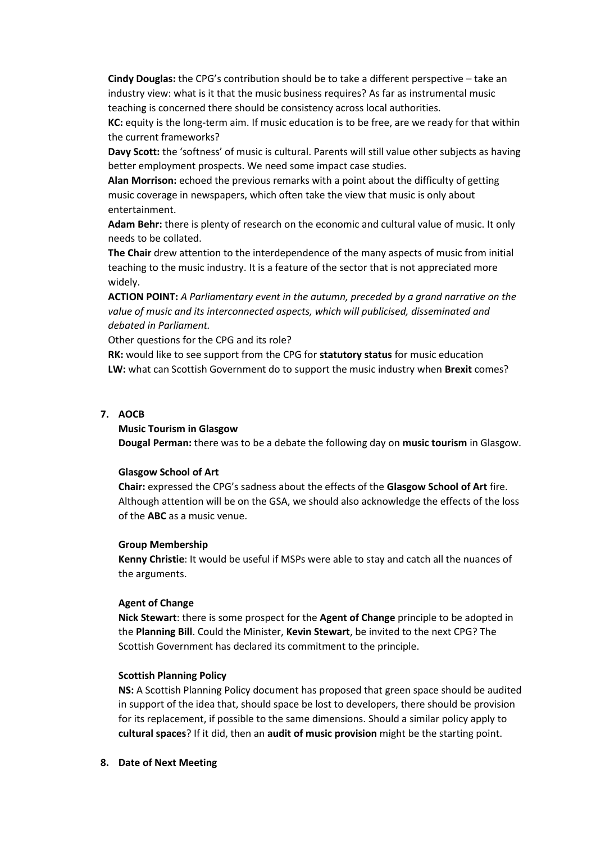**Cindy Douglas:** the CPG's contribution should be to take a different perspective – take an industry view: what is it that the music business requires? As far as instrumental music teaching is concerned there should be consistency across local authorities.

**KC:** equity is the long-term aim. If music education is to be free, are we ready for that within the current frameworks?

**Davy Scott:** the 'softness' of music is cultural. Parents will still value other subjects as having better employment prospects. We need some impact case studies.

**Alan Morrison:** echoed the previous remarks with a point about the difficulty of getting music coverage in newspapers, which often take the view that music is only about entertainment.

**Adam Behr:** there is plenty of research on the economic and cultural value of music. It only needs to be collated.

**The Chair** drew attention to the interdependence of the many aspects of music from initial teaching to the music industry. It is a feature of the sector that is not appreciated more widely.

**ACTION POINT:** *A Parliamentary event in the autumn, preceded by a grand narrative on the value of music and its interconnected aspects, which will publicised, disseminated and debated in Parliament.*

Other questions for the CPG and its role?

**RK:** would like to see support from the CPG for **statutory status** for music education **LW:** what can Scottish Government do to support the music industry when **Brexit** comes?

## **7. AOCB**

#### **Music Tourism in Glasgow**

**Dougal Perman:** there was to be a debate the following day on **music tourism** in Glasgow.

#### **Glasgow School of Art**

**Chair:** expressed the CPG's sadness about the effects of the **Glasgow School of Art** fire. Although attention will be on the GSA, we should also acknowledge the effects of the loss of the **ABC** as a music venue.

#### **Group Membership**

**Kenny Christie**: It would be useful if MSPs were able to stay and catch all the nuances of the arguments.

#### **Agent of Change**

**Nick Stewart**: there is some prospect for the **Agent of Change** principle to be adopted in the **Planning Bill**. Could the Minister, **Kevin Stewart**, be invited to the next CPG? The Scottish Government has declared its commitment to the principle.

#### **Scottish Planning Policy**

**NS:** A Scottish Planning Policy document has proposed that green space should be audited in support of the idea that, should space be lost to developers, there should be provision for its replacement, if possible to the same dimensions. Should a similar policy apply to **cultural spaces**? If it did, then an **audit of music provision** might be the starting point.

**8. Date of Next Meeting**